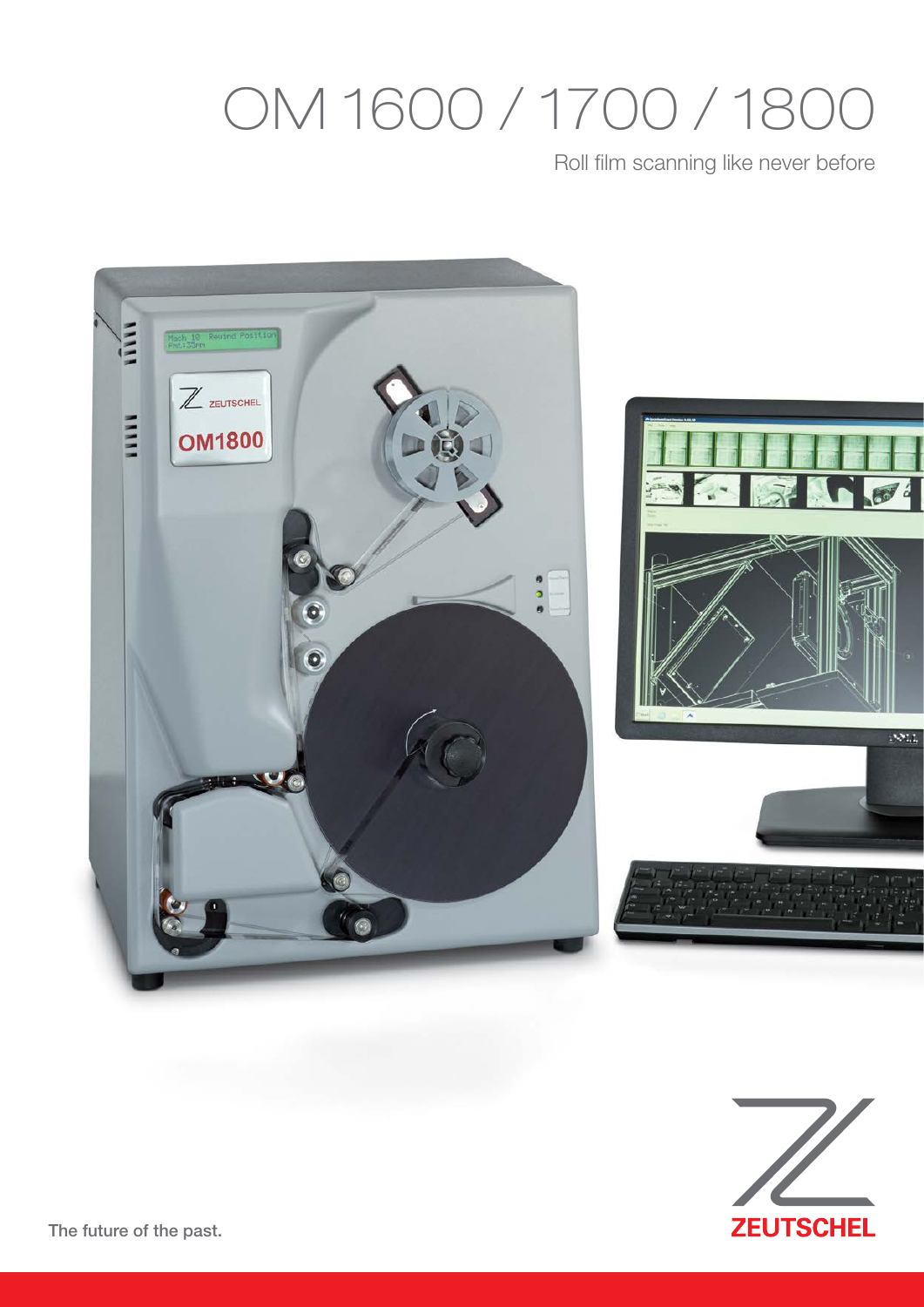## OM 1600 / 1700 / 1800

Roll film scanning like never before